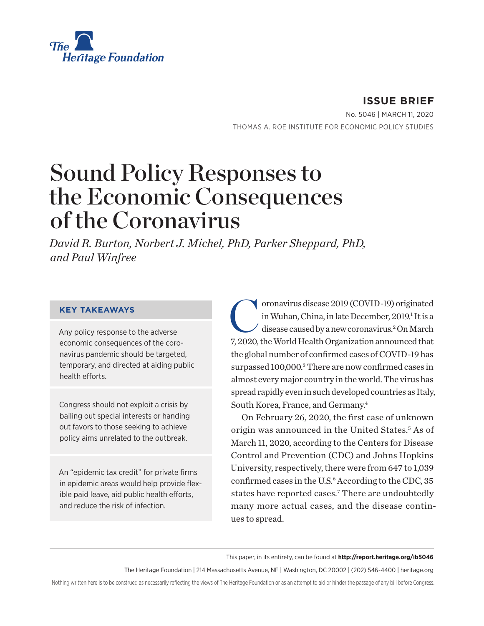

**ISSUE BRIEF** No. 5046 | March 11, 2020 THOMAS A. ROE INSTITUTE FOR ECONOMIC POLICY STUDIES

# Sound Policy Responses to the Economic Consequences of the Coronavirus

*David R. Burton, Norbert J. Michel, PhD, Parker Sheppard, PhD, and Paul Winfree*

#### **KEY TAKEAWAYS**

Any policy response to the adverse economic consequences of the coronavirus pandemic should be targeted, temporary, and directed at aiding public health efforts.

Congress should not exploit a crisis by bailing out special interests or handing out favors to those seeking to achieve policy aims unrelated to the outbreak.

An "epidemic tax credit" for private firms in epidemic areas would help provide flexible paid leave, aid public health efforts, and reduce the risk of infection.

coronavirus disease 2019 (COVID-19) originated<br>in Wuhan, China, in late December, 2019.<sup>1</sup> It is a<br>disease caused by a new coronavirus.<sup>2</sup> On March in Wuhan, China, in late December, 2019.<sup>1</sup> It is a disease caused by a new coronavirus.2 On March 7, 2020, the World Health Organization announced that the global number of confirmed cases of COVID-19 has surpassed 100,000.<sup>3</sup> There are now confirmed cases in almost every major country in the world. The virus has spread rapidly even in such developed countries as Italy, South Korea, France, and Germany.4

On February 26, 2020, the first case of unknown origin was announced in the United States.<sup>5</sup> As of March 11, 2020, according to the Centers for Disease Control and Prevention (CDC) and Johns Hopkins University, respectively, there were from 647 to 1,039 confirmed cases in the U.S.<sup>6</sup> According to the CDC, 35 states have reported cases.<sup>7</sup> There are undoubtedly many more actual cases, and the disease continues to spread.

This paper, in its entirety, can be found at **http://report.heritage.org/ib5046**

The Heritage Foundation | 214 Massachusetts Avenue, NE | Washington, DC 20002 | (202) 546-4400 | heritage.org

Nothing written here is to be construed as necessarily reflecting the views of The Heritage Foundation or as an attempt to aid or hinder the passage of any bill before Congress.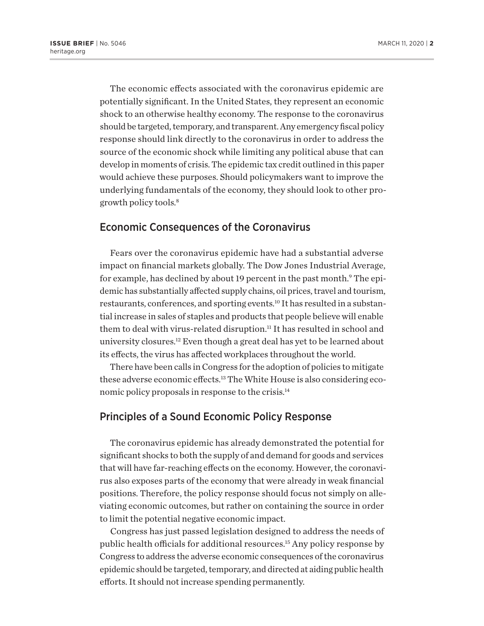The economic effects associated with the coronavirus epidemic are potentially significant. In the United States, they represent an economic shock to an otherwise healthy economy. The response to the coronavirus should be targeted, temporary, and transparent. Any emergency fiscal policy response should link directly to the coronavirus in order to address the source of the economic shock while limiting any political abuse that can develop in moments of crisis. The epidemic tax credit outlined in this paper would achieve these purposes. Should policymakers want to improve the underlying fundamentals of the economy, they should look to other progrowth policy tools.8

## Economic Consequences of the Coronavirus

Fears over the coronavirus epidemic have had a substantial adverse impact on financial markets globally. The Dow Jones Industrial Average, for example, has declined by about 19 percent in the past month.9 The epidemic has substantially affected supply chains, oil prices, travel and tourism, restaurants, conferences, and sporting events.<sup>10</sup> It has resulted in a substantial increase in sales of staples and products that people believe will enable them to deal with virus-related disruption.11 It has resulted in school and university closures.<sup>12</sup> Even though a great deal has yet to be learned about its effects, the virus has affected workplaces throughout the world.

There have been calls in Congress for the adoption of policies to mitigate these adverse economic effects.13 The White House is also considering economic policy proposals in response to the crisis.14

### Principles of a Sound Economic Policy Response

The coronavirus epidemic has already demonstrated the potential for significant shocks to both the supply of and demand for goods and services that will have far-reaching effects on the economy. However, the coronavirus also exposes parts of the economy that were already in weak financial positions. Therefore, the policy response should focus not simply on alleviating economic outcomes, but rather on containing the source in order to limit the potential negative economic impact.

Congress has just passed legislation designed to address the needs of public health officials for additional resources.15 Any policy response by Congress to address the adverse economic consequences of the coronavirus epidemic should be targeted, temporary, and directed at aiding public health efforts. It should not increase spending permanently.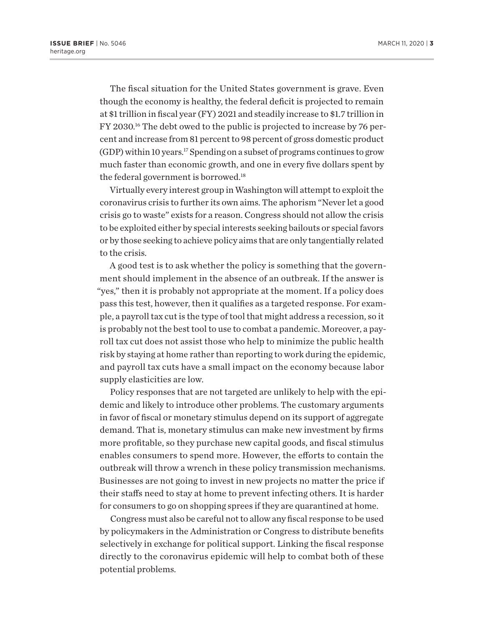The fiscal situation for the United States government is grave. Even though the economy is healthy, the federal deficit is projected to remain at \$1 trillion in fiscal year (FY) 2021 and steadily increase to \$1.7 trillion in FY 2030.16 The debt owed to the public is projected to increase by 76 percent and increase from 81 percent to 98 percent of gross domestic product  $(GDP)$  within 10 years.<sup>17</sup> Spending on a subset of programs continues to grow much faster than economic growth, and one in every five dollars spent by the federal government is borrowed.<sup>18</sup>

Virtually every interest group in Washington will attempt to exploit the coronavirus crisis to further its own aims. The aphorism "Never let a good crisis go to waste" exists for a reason. Congress should not allow the crisis to be exploited either by special interests seeking bailouts or special favors or by those seeking to achieve policy aims that are only tangentially related to the crisis.

A good test is to ask whether the policy is something that the government should implement in the absence of an outbreak. If the answer is "yes," then it is probably not appropriate at the moment. If a policy does pass this test, however, then it qualifies as a targeted response. For example, a payroll tax cut is the type of tool that might address a recession, so it is probably not the best tool to use to combat a pandemic. Moreover, a payroll tax cut does not assist those who help to minimize the public health risk by staying at home rather than reporting to work during the epidemic, and payroll tax cuts have a small impact on the economy because labor supply elasticities are low.

Policy responses that are not targeted are unlikely to help with the epidemic and likely to introduce other problems. The customary arguments in favor of fiscal or monetary stimulus depend on its support of aggregate demand. That is, monetary stimulus can make new investment by firms more profitable, so they purchase new capital goods, and fiscal stimulus enables consumers to spend more. However, the efforts to contain the outbreak will throw a wrench in these policy transmission mechanisms. Businesses are not going to invest in new projects no matter the price if their staffs need to stay at home to prevent infecting others. It is harder for consumers to go on shopping sprees if they are quarantined at home.

Congress must also be careful not to allow any fiscal response to be used by policymakers in the Administration or Congress to distribute benefits selectively in exchange for political support. Linking the fiscal response directly to the coronavirus epidemic will help to combat both of these potential problems.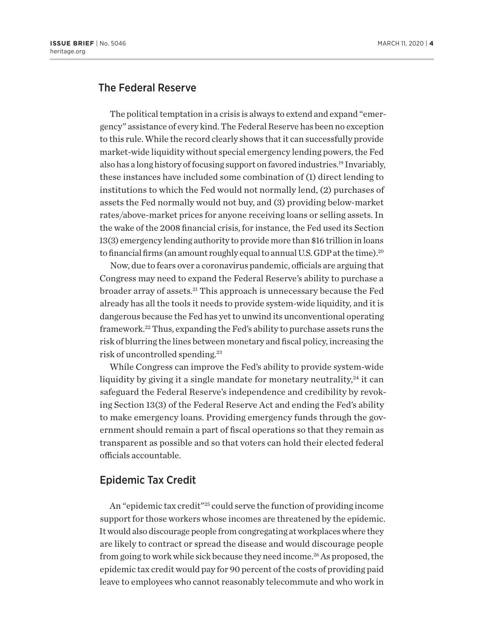## The Federal Reserve

The political temptation in a crisis is always to extend and expand "emergency" assistance of every kind. The Federal Reserve has been no exception to this rule. While the record clearly shows that it can successfully provide market-wide liquidity without special emergency lending powers, the Fed also has a long history of focusing support on favored industries.19 Invariably, these instances have included some combination of (1) direct lending to institutions to which the Fed would not normally lend, (2) purchases of assets the Fed normally would not buy, and (3) providing below-market rates/above-market prices for anyone receiving loans or selling assets. In the wake of the 2008 financial crisis, for instance, the Fed used its Section 13(3) emergency lending authority to provide more than \$16 trillion in loans to financial firms (an amount roughly equal to annual U.S. GDP at the time).<sup>20</sup>

Now, due to fears over a coronavirus pandemic, officials are arguing that Congress may need to expand the Federal Reserve's ability to purchase a broader array of assets.21 This approach is unnecessary because the Fed already has all the tools it needs to provide system-wide liquidity, and it is dangerous because the Fed has yet to unwind its unconventional operating framework.22 Thus, expanding the Fed's ability to purchase assets runs the risk of blurring the lines between monetary and fiscal policy, increasing the risk of uncontrolled spending.23

While Congress can improve the Fed's ability to provide system-wide liquidity by giving it a single mandate for monetary neutrality, $24$  it can safeguard the Federal Reserve's independence and credibility by revoking Section 13(3) of the Federal Reserve Act and ending the Fed's ability to make emergency loans. Providing emergency funds through the government should remain a part of fiscal operations so that they remain as transparent as possible and so that voters can hold their elected federal officials accountable.

#### Epidemic Tax Credit

An "epidemic tax credit"25 could serve the function of providing income support for those workers whose incomes are threatened by the epidemic. It would also discourage people from congregating at workplaces where they are likely to contract or spread the disease and would discourage people from going to work while sick because they need income.<sup>26</sup> As proposed, the epidemic tax credit would pay for 90 percent of the costs of providing paid leave to employees who cannot reasonably telecommute and who work in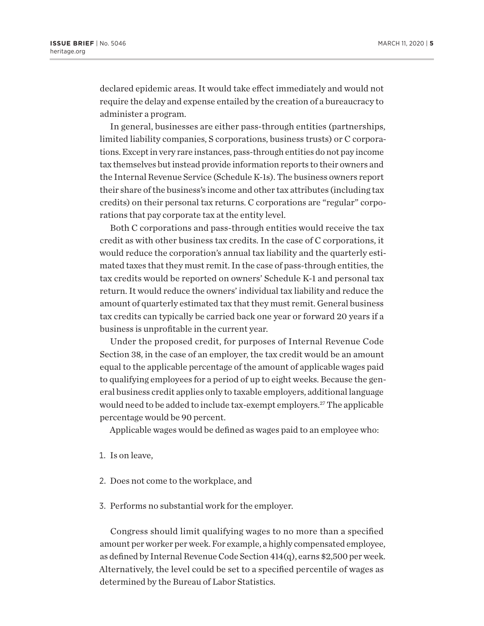declared epidemic areas. It would take effect immediately and would not require the delay and expense entailed by the creation of a bureaucracy to administer a program.

In general, businesses are either pass-through entities (partnerships, limited liability companies, S corporations, business trusts) or C corporations. Except in very rare instances, pass-through entities do not pay income tax themselves but instead provide information reports to their owners and the Internal Revenue Service (Schedule K-1s). The business owners report their share of the business's income and other tax attributes (including tax credits) on their personal tax returns. C corporations are "regular" corporations that pay corporate tax at the entity level.

Both C corporations and pass-through entities would receive the tax credit as with other business tax credits. In the case of C corporations, it would reduce the corporation's annual tax liability and the quarterly estimated taxes that they must remit. In the case of pass-through entities, the tax credits would be reported on owners' Schedule K-1 and personal tax return. It would reduce the owners' individual tax liability and reduce the amount of quarterly estimated tax that they must remit. General business tax credits can typically be carried back one year or forward 20 years if a business is unprofitable in the current year.

Under the proposed credit, for purposes of Internal Revenue Code Section 38, in the case of an employer, the tax credit would be an amount equal to the applicable percentage of the amount of applicable wages paid to qualifying employees for a period of up to eight weeks. Because the general business credit applies only to taxable employers, additional language would need to be added to include tax-exempt employers.<sup>27</sup> The applicable percentage would be 90 percent.

Applicable wages would be defined as wages paid to an employee who:

- 1. Is on leave,
- 2. Does not come to the workplace, and
- 3. Performs no substantial work for the employer.

Congress should limit qualifying wages to no more than a specified amount per worker per week. For example, a highly compensated employee, as defined by Internal Revenue Code Section 414(q), earns \$2,500 per week. Alternatively, the level could be set to a specified percentile of wages as determined by the Bureau of Labor Statistics.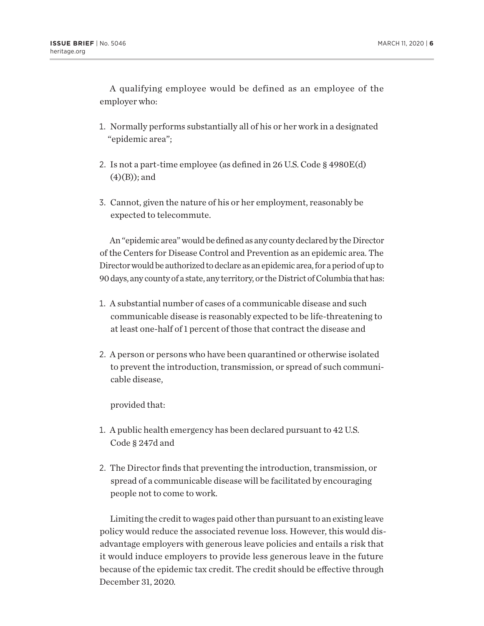A qualifying employee would be defined as an employee of the employer who:

- 1. Normally performs substantially all of his or her work in a designated "epidemic area";
- 2. Is not a part-time employee (as defined in 26 U.S. Code § 4980E(d)  $(4)(B)$ ; and
- 3. Cannot, given the nature of his or her employment, reasonably be expected to telecommute.

An "epidemic area" would be defined as any county declared by the Director of the Centers for Disease Control and Prevention as an epidemic area. The Director would be authorized to declare as an epidemic area, for a period of up to 90 days, any county of a state, any territory, or the District of Columbia that has:

- 1. A substantial number of cases of a communicable disease and such communicable disease is reasonably expected to be life-threatening to at least one-half of 1 percent of those that contract the disease and
- 2. A person or persons who have been quarantined or otherwise isolated to prevent the introduction, transmission, or spread of such communicable disease,

provided that:

- 1. A public health emergency has been declared pursuant to 42 U.S. Code § 247d and
- 2. The Director finds that preventing the introduction, transmission, or spread of a communicable disease will be facilitated by encouraging people not to come to work.

Limiting the credit to wages paid other than pursuant to an existing leave policy would reduce the associated revenue loss. However, this would disadvantage employers with generous leave policies and entails a risk that it would induce employers to provide less generous leave in the future because of the epidemic tax credit. The credit should be effective through December 31, 2020.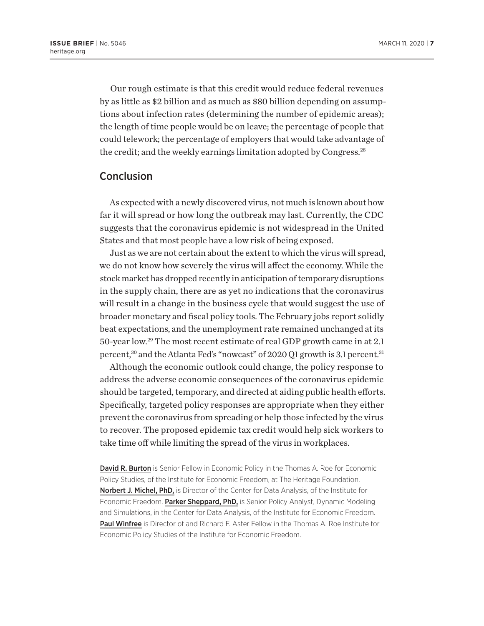Our rough estimate is that this credit would reduce federal revenues by as little as \$2 billion and as much as \$80 billion depending on assumptions about infection rates (determining the number of epidemic areas); the length of time people would be on leave; the percentage of people that could telework; the percentage of employers that would take advantage of the credit; and the weekly earnings limitation adopted by Congress.<sup>28</sup>

#### **Conclusion**

As expected with a newly discovered virus, not much is known about how far it will spread or how long the outbreak may last. Currently, the CDC suggests that the coronavirus epidemic is not widespread in the United States and that most people have a low risk of being exposed.

Just as we are not certain about the extent to which the virus will spread, we do not know how severely the virus will affect the economy. While the stock market has dropped recently in anticipation of temporary disruptions in the supply chain, there are as yet no indications that the coronavirus will result in a change in the business cycle that would suggest the use of broader monetary and fiscal policy tools. The February jobs report solidly beat expectations, and the unemployment rate remained unchanged at its 50-year low.29 The most recent estimate of real GDP growth came in at 2.1 percent,<sup>30</sup> and the Atlanta Fed's "nowcast" of 2020 Q1 growth is 3.1 percent.<sup>31</sup>

Although the economic outlook could change, the policy response to address the adverse economic consequences of the coronavirus epidemic should be targeted, temporary, and directed at aiding public health efforts. Specifically, targeted policy responses are appropriate when they either prevent the coronavirus from spreading or help those infected by the virus to recover. The proposed epidemic tax credit would help sick workers to take time off while limiting the spread of the virus in workplaces.

David R. Burton is Senior Fellow in Economic Policy in the Thomas A. Roe for Economic Policy Studies, of the Institute for Economic Freedom, at The Heritage Foundation. Norbert J. Michel, PhD, is Director of the Center for Data Analysis, of the Institute for Economic Freedom. Parker Sheppard, PhD, is Senior Policy Analyst, Dynamic Modeling and Simulations, in the Center for Data Analysis, of the Institute for Economic Freedom. Paul Winfree is Director of and Richard F. Aster Fellow in the Thomas A. Roe Institute for Economic Policy Studies of the Institute for Economic Freedom.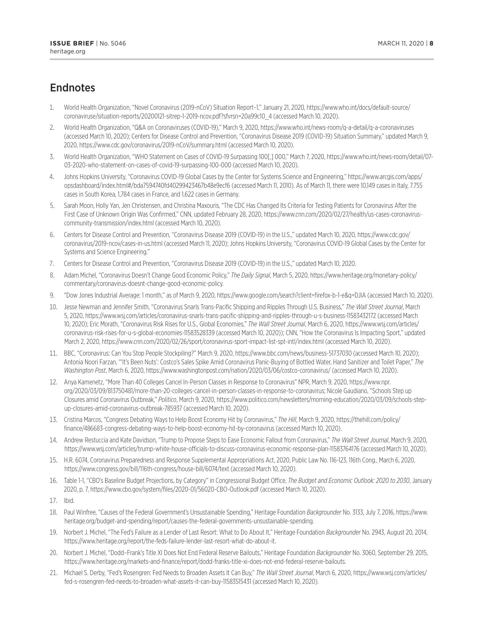## **Endnotes**

- 1. World Health Organization, "Novel Coronavirus (2019-nCoV) Situation Report–1," January 21, 2020, https://www.who.int/docs/default-source/ coronaviruse/situation-reports/20200121-sitrep-1-2019-ncov.pdf?sfvrsn=20a99c10\_4 (accessed March 10, 2020).
- 2. World Health Organization, "Q&A on Coronaviruses (COVID-19)," March 9, 2020, https://www.who.int/news-room/q-a-detail/q-a-coronaviruses (accessed March 10, 2020); Centers for Disease Control and Prevention, "Coronavirus Disease 2019 (COVID-19) Situation Summary," updated March 9, 2020, https://www.cdc.gov/coronavirus/2019-nCoV/summary.html (accessed March 10, 2020).
- 3. World Health Organization, "WHO Statement on Cases of COVID-19 Surpassing 100[,] 000," March 7, 2020, https://www.who.int/news-room/detail/07- 03-2020-who-statement-on-cases-of-covid-19-surpassing-100-000 (accessed March 10, 2020).
- 4. Johns Hopkins University, "Coronavirus COVID-19 Global Cases by the Center for Systems Science and Engineering," https://www.arcgis.com/apps/ opsdashboard/index.html#/bda7594740fd40299423467b48e9ecf6 (accessed March 11, 2010). As of March 11, there were 10,149 cases in Italy, 7.755 cases in South Korea, 1,784 cases in France, and 1,622 cases in Germany.
- 5. Sarah Moon, Holly Yan, Jen Christensen, and Christina Maxouris, "The CDC Has Changed Its Criteria for Testing Patients for Coronavirus After the First Case of Unknown Origin Was Confirmed," CNN, updated February 28, 2020, https://www.cnn.com/2020/02/27/health/us-cases-coronaviruscommunity-transmission/index.html (accessed March 10, 2020).
- 6. Centers for Disease Control and Prevention, "Coronavirus Disease 2019 (COVID-19) in the U.S.," updated March 10, 2020, https://www.cdc.gov/ coronavirus/2019-ncov/cases-in-us.html (accessed March 11, 2020); Johns Hopkins University, "Coronavirus COVID-19 Global Cases by the Center for Systems and Science Engineering."
- 7. Centers for Disease Control and Prevention, "Coronavirus Disease 2019 (COVID-19) in the U.S.," updated March 10, 2020.
- 8. Adam Michel, "Coronavirus Doesn't Change Good Economic Policy," *The Daily Signal*, March 5, 2020, https://www.heritage.org/monetary-policy/ commentary/coronavirus-doesnt-change-good-economic-policy.
- 9. "Dow Jones Industrial Average: 1 month," as of March 9, 2020, https://www.google.com/search?client=firefox-b-1-e&q=DJIA (accessed March 10, 2020).
- 10. Jesse Newman and Jennifer Smith, "Coronavirus Snarls Trans-Pacific Shipping and Ripples Through U.S. Business," *The Wall Street Journal*, March 5, 2020, https://www.wsj.com/articles/coronavirus-snarls-trans-pacific-shipping-and-ripples-through-u-s-business-11583432172 (accessed March 10, 2020); Eric Morath, "Coronavirus Risk Rises for U.S., Global Economies," *The Wall Street Journal*, March 6, 2020, https://www.wsj.com/articles/ coronavirus-risk-rises-for-u-s-global-economies-11583528339 (accessed March 10, 2020)); CNN, "How the Coronavirus Is Impacting Sport," updated March 2, 2020, https://www.cnn.com/2020/02/26/sport/coronavirus-sport-impact-list-spt-intl/index.html (accessed March 10, 2020).
- 11. BBC, "Coronavirus: Can You Stop People Stockpiling?" March 9, 2020, https://www.bbc.com/news/business-51737030 (accessed March 10, 2020); Antonia Noori Farzan, "'It's Been Nuts': Costco's Sales Spike Amid Coronavirus Panic-Buying of Bottled Water, Hand Sanitizer and Toilet Paper," *The Washington Post*, March 6, 2020, https://www.washingtonpost.com/nation/2020/03/06/costco-coronavirus/ (accessed March 10, 2020).
- 12. Anya Kamenetz, "More Than 40 Colleges Cancel In-Person Classes in Response to Coronavirus" NPR, March 9, 2020, https://www.npr. org/2020/03/09/813750481/more-than-20-colleges-cancel-in-person-classes-in-response-to-coronavirus; Nicole Gaudiano, "Schools Step up Closures amid Coronavirus Outbreak," *Politico*, March 9, 2020, https://www.politico.com/newsletters/morning-education/2020/03/09/schools-stepup-closures-amid-coronavirus-outbreak-785937 (accessed March 10, 2020).
- 13. Cristina Marcos, "Congress Debating Ways to Help Boost Economy Hit by Coronavirus," *The Hill*, March 9, 2020, https://thehill.com/policy/ finance/486683-congress-debating-ways-to-help-boost-economy-hit-by-coronavirus (accessed March 10, 2020).
- 14. Andrew Restuccia and Kate Davidson, "Trump to Propose Steps to Ease Economic Fallout from Coronavirus," *The Wall Street Journal*, March 9, 2020, https://www.wsj.com/articles/trump-white-house-officials-to-discuss-coronavirus-economic-response-plan-11583764176 (accessed March 10, 2020).
- 15. H.R. 6074, Coronavirus Preparedness and Response Supplemental Appropriations Act, 2020, Public Law No. 116-123, 116th Cong., March 6, 2020, https://www.congress.gov/bill/116th-congress/house-bill/6074/text (accessed March 10, 2020).
- 16. Table 1-1, "CBO's Baseline Budget Projections, by Category" in Congressional Budget Office, *The Budget and Economic Outlook: 2020 to 2030*, January 2020, p. 7, https://www.cbo.gov/system/files/2020-01/56020-CBO-Outlook.pdf (accessed March 10, 2020).
- 17. Ibid.
- 18. Paul Winfree, "Causes of the Federal Government's Unsustainable Spending," Heritage Foundation *Backgrounder* No. 3133, July 7, 2016, https://www. heritage.org/budget-and-spending/report/causes-the-federal-governments-unsustainable-spending.
- 19. Norbert J. Michel, "The Fed's Failure as a Lender of Last Resort: What to Do About It," Heritage Foundation *Backgrounder* No. 2943, August 20, 2014, https://www.heritage.org/report/the-feds-failure-lender-last-resort-what-do-about-it.
- 20. Norbert J. Michel, "Dodd–Frank's Title XI Does Not End Federal Reserve Bailouts," Heritage Foundation *Backgrounder* No. 3060, September 29, 2015, https://www.heritage.org/markets-and-finance/report/dodd-franks-title-xi-does-not-end-federal-reserve-bailouts.
- 21. Michael S. Derby, "Fed's Rosengren: Fed Needs to Broaden Assets It Can Buy," *The Wall Street Journal*, March 6, 2020, https://www.wsj.com/articles/ fed-s-rosengren-fed-needs-to-broaden-what-assets-it-can-buy-11583515431 (accessed March 10, 2020).